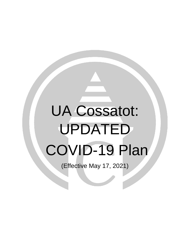# UA Cossatot: UPDATED COVID-19 Plan

(Effective May 17, 2021)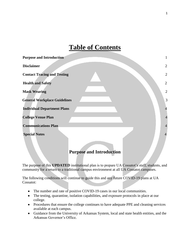# **Table of Contents**

| $\mathbf{2}$   |
|----------------|
| $\overline{2}$ |
| $\overline{2}$ |
| $\overline{2}$ |
| 3              |
| $\overline{4}$ |
| $\overline{4}$ |
| $\overline{4}$ |
| $\overline{4}$ |
|                |

# **Purpose and Introduction**

The purpose of this **UPDATED** institutional plan is to prepare UA Cossatot's staff, students, and community for a return to a traditional campus environment at all UA Cossatot campuses.

The following conditions will continue to guide this and any future COVID-19 plans at UA Cossatot:

- The number and rate of positive COVID-19 cases in our local communities.
- The testing, quarantine, isolation capabilities, and exposure protocols in place at our college.
- Procedures that ensure the college continues to have adequate PPE and cleaning services available at each campus.
- Guidance from the University of Arkansas System, local and state health entities, and the Arkansas Governor's Office.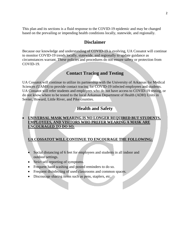This plan and its sections is a fluid response to the COVID-19 epidemic and may be changed based on the prevailing or impending health conditions locally, statewide, and regionally.

## **Disclaimer**

Because our knowledge and understanding of COVID-19 is evolving, UA Cossatot will continue to monitor COVID-19 trends locally, statewide, and regionally to update guidance as circumstances warrant. These policies and procedures do not ensure safety or protection from COVID-19.

# **Contact Tracing and Testing**

UA Cossatot will continue to utilize its partnership with the University of Arkansas for Medical Sciences (UAMS) to provide contact tracing for COVID-19 infected employees and students. UA Cossatot will refer students and employees who do not have access to COVID-19 testing, or do not know where to be tested to the local Arkansas Department of Health (ADH) Units in Sevier, Howard, Little River, and Pike counties.

# **Health and Safety**

#### **UNIVERSAL MASK WEARING IS NO LONGER REQUIRED BUT STUDENTS, EMPLOYEES, AND VISITORS WHO PREFER WEARING A MASK ARE ENCOURAGED TO DO SO.**

### **UA COSSATOT WILL CONTINUE TO ENCOURAGE THE FOLLOWING:**

- Social distancing of 6 feet for employees and students in all indoor and outdoor settings.
- Strict self-reporting of symptoms.
- Frequent hand washing and posted reminders to do so.
- Frequent disinfecting of used classrooms and common spaces.
- Discourage sharing items such as pens, staplers, etc.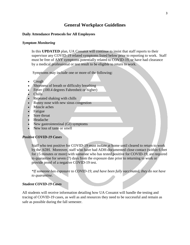# **General Workplace Guidelines**

#### **Daily Attendance Protocols for All Employees**

#### *Symptom Monitoring*

In this **UPDATED** plan, UA Cossatot will continue to insist that staff reports to their supervisor any COVID-19 related symptoms listed below prior to reporting to work. Staff must be free of ANY symptoms potentially related to COVID-19, or have had clearance by a medical professional or test result to be eligible to return to work.

Symptoms may include one or more of the following:

- **Cough**
- Shortness of breath or difficulty breathing
- Fever (100.4 degrees Fahrenheit or higher)
- Chills
- Repeated shaking with chills
- Runny nose with new sinus congestion
- Muscle aches
- Fatigue
- Sore throat
- Headache
- New gastrointestinal (GI) symptoms
- New loss of taste or smell

#### *Positive COVID-19 Cases*

Staff who test positive for COVID-19 must isolate at home until cleared to return to work by the ADH. Moreover, staff who have had ADH-documented close contact (within 6 feet for 15 minutes or more) with someone who has tested positive for COVID-19, are required to quarantine for seven (7) days from the exposure date prior to returning to work or provide proof of a negative COVID-19 test.

*\*If someone has exposure to COVID-19, and have been fully vaccinated, they do not have to quarantine.*

#### *Student COVID-19 Cases*

All students will receive information detailing how UA Cossatot will handle the testing and tracing of COVID-19 cases, as well as and resources they need to be successful and remain as safe as possible during the fall semester.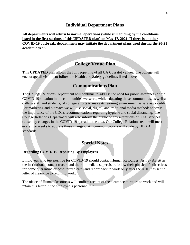#### **Individual Department Plans**

**All departments will return to normal operations (while still abiding by the conditions listed in the first sections of this UPDATED plan) on May 17, 2021. If there is another COVID-19 outbreak, departments may initiate the department plans used during the 20-21 academic year.**

# **College Venue Plan**

This **UPDATED** plan allows the full reopening of all UA Cossatot venues. The college will encourage all visitors to follow the Health and Safety guidelines listed above.

### **Communications Plan**

The College Relations Department will continue to address the need for public awareness of the COVID-19 situation in the communities we serve, while educating those communities, as well as college staff and students, of college efforts to make its learning environment as safe as possible. For marketing and outreach we will use social, digital, and traditional media methods to stress the importance of the CDC's recommendations regarding hygiene and social distancing. The College Relations Department will also inform the public of any alterations of UAC services caused by changes in the COVID-19 spread in the area. Our College Relations team will meet every two weeks to address those changes. All communications will abide by HIPAA standards.

#### **Special Notes**

#### **Regarding COVID-19 Reporting By Employees**

Employees who test positive for COVID-19 should contact Human Resources, Ashley Aylett as the institutional contact tracer, and their immediate supervisor, follow their physician's directives for home quarantine or hospitalized care, and report back to work only after the ADH has sent a letter of clearance to return to work.

The office of Human Resources will confirm receipt of the clearance to return to work and will retain this letter in the employee's personnel file.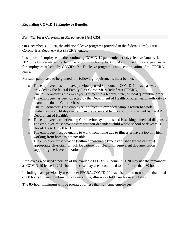#### *Families First Coronavirus Response Act (FFCRA)*

On December 31, 2020, the additional leave programs provided in the federal Family First Coronavirus Recovery Act (FFCRA) ended.

In support of employees in the continuing COVID-19 pandemic period, effective January 1, 2021, the University will extend the opportunity for up to 80 total combined hours of paid leave for employees affected by COVID-19. The leave program is not a continuation of the FFCRA leave.

For such paid leave to be granted, the following requirements must be met:

- o The employee must not have previously used 80 hours of COVID-19 leave as was provided by the federal Family First Coronavirus Relief Act (FFCRA).
- o Due to Coronavirus the employee is subject to a federal, state, or local quarantine order.
- o The employee has been directed by the Department of Health or other health authority to quarantine due to Coronavirus.
- o Due to Coronavirus the employee is subject to extended campus return-to-work guidelines (up to14 days rather than the seven and ten day options provided by the AR Department of Health).
- o The employee is experiencing Coronavirus symptoms and is seeking a medical diagnosis.
- o The employee must provide care for their dependent child whose school or daycare is closed due to COVID-19.
- o The employee must be unable to work from home due to illness or have a job in which working from home is not possible.
- o The employee must provide (within a reasonable time established by the campus) appropriate physician, school, Department of Health or equivalent documentation supporting the leave utilization.

Employees who used a portion of the available FFCRA 80 hours in 2020 may use the remainder as COVID-19 leave in 2021 but in no case may use a combined total of more than 80 hours.

Including leave previously used under FFCRA, COVID-19 leave is limited to no more than total of 80 hours for any combination of quarantine, illness or child care leave eligibility.

The 80-hour maximum will be prorated for less than full-time employees.